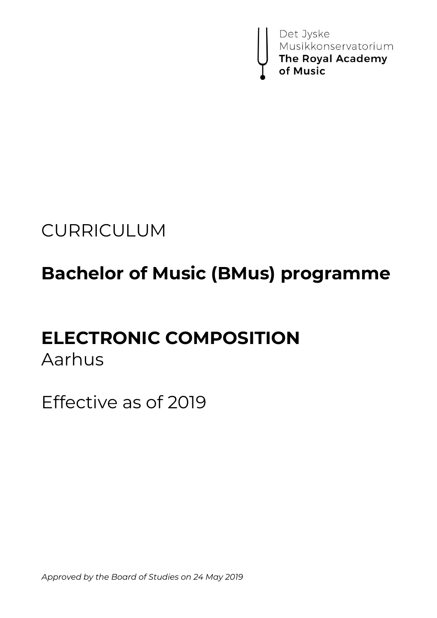

# CURRICULUM

# **Bachelor of Music (BMus) programme**

# **ELECTRONIC COMPOSITION**

# Aarhus

Effective as of 2019

*Approved by the Board of Studies on 24 May 2019*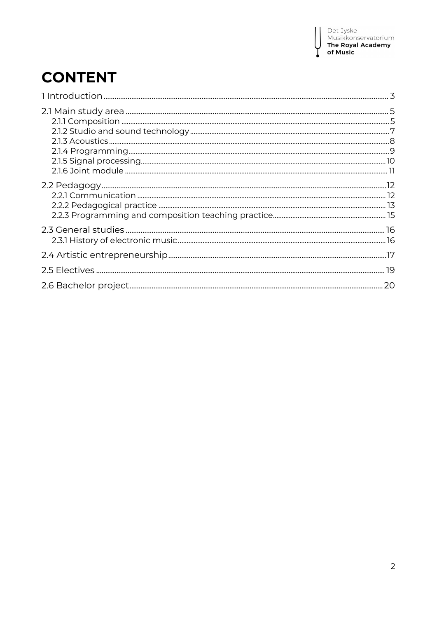I

# **CONTENT**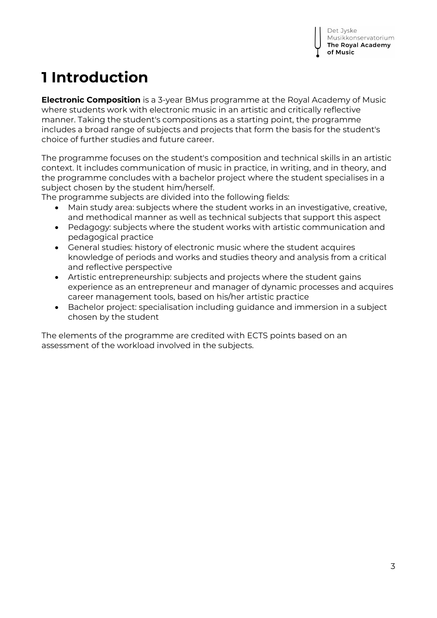# **1 Introduction**

**Electronic Composition** is a 3-year BMus programme at the Royal Academy of Music where students work with electronic music in an artistic and critically reflective manner. Taking the student's compositions as a starting point, the programme includes a broad range of subjects and projects that form the basis for the student's choice of further studies and future career.

The programme focuses on the student's composition and technical skills in an artistic context. It includes communication of music in practice, in writing, and in theory, and the programme concludes with a bachelor project where the student specialises in a subject chosen by the student him/herself.

The programme subjects are divided into the following fields:

- Main study area: subjects where the student works in an investigative, creative, and methodical manner as well as technical subjects that support this aspect
- Pedagogy: subjects where the student works with artistic communication and pedagogical practice
- General studies: history of electronic music where the student acquires knowledge of periods and works and studies theory and analysis from a critical and reflective perspective
- Artistic entrepreneurship: subjects and projects where the student gains experience as an entrepreneur and manager of dynamic processes and acquires career management tools, based on his/her artistic practice
- Bachelor project: specialisation including guidance and immersion in a subject chosen by the student

The elements of the programme are credited with ECTS points based on an assessment of the workload involved in the subjects.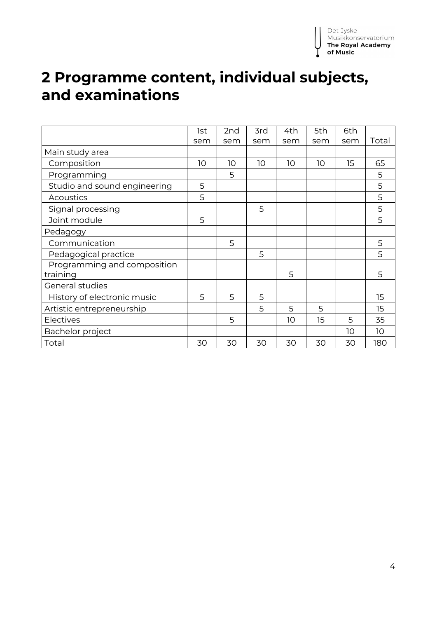# **2 Programme content, individual subjects, and examinations**

|                              | 1st | 2nd | 3rd | 4th | 5th | 6th |                 |
|------------------------------|-----|-----|-----|-----|-----|-----|-----------------|
|                              |     |     |     |     |     |     |                 |
|                              | sem | sem | sem | sem | sem | sem | Total           |
| Main study area              |     |     |     |     |     |     |                 |
| Composition                  | 10  | 10  | 10  | 10  | 10  | 15  | 65              |
| Programming                  |     | 5   |     |     |     |     | 5               |
| Studio and sound engineering | 5   |     |     |     |     |     | 5               |
| Acoustics                    | 5   |     |     |     |     |     | 5               |
| Signal processing            |     |     | 5   |     |     |     | 5               |
| Joint module                 | 5   |     |     |     |     |     | 5               |
| Pedagogy                     |     |     |     |     |     |     |                 |
| Communication                |     | 5   |     |     |     |     | 5               |
| Pedagogical practice         |     |     | 5   |     |     |     | 5               |
| Programming and composition  |     |     |     |     |     |     |                 |
| training                     |     |     |     | 5   |     |     | 5               |
| General studies              |     |     |     |     |     |     |                 |
| History of electronic music  | 5   | 5   | 5   |     |     |     | 15              |
| Artistic entrepreneurship    |     |     | 5   | 5   | 5   |     | 15              |
| Electives                    |     | 5   |     | 10  | 15  | 5   | 35              |
| Bachelor project             |     |     |     |     |     | 10  | 10 <sup>°</sup> |
| Total                        | 30  | 30  | 30  | 30  | 30  | 30  | 180             |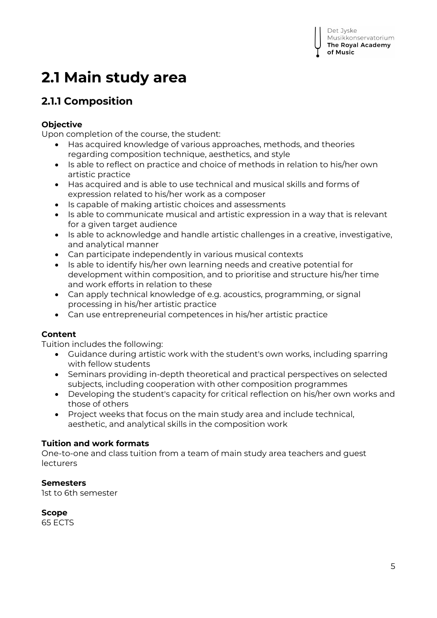# **2.1 Main study area**

# **2.1.1 Composition**

## **Objective**

Upon completion of the course, the student:

- Has acquired knowledge of various approaches, methods, and theories regarding composition technique, aesthetics, and style
- Is able to reflect on practice and choice of methods in relation to his/her own artistic practice
- Has acquired and is able to use technical and musical skills and forms of expression related to his/her work as a composer
- Is capable of making artistic choices and assessments
- Is able to communicate musical and artistic expression in a way that is relevant for a given target audience
- Is able to acknowledge and handle artistic challenges in a creative, investigative, and analytical manner
- Can participate independently in various musical contexts
- Is able to identify his/her own learning needs and creative potential for development within composition, and to prioritise and structure his/her time and work efforts in relation to these
- Can apply technical knowledge of e.g. acoustics, programming, or signal processing in his/her artistic practice
- Can use entrepreneurial competences in his/her artistic practice

# **Content**

Tuition includes the following:

- Guidance during artistic work with the student's own works, including sparring with fellow students
- Seminars providing in-depth theoretical and practical perspectives on selected subjects, including cooperation with other composition programmes
- Developing the student's capacity for critical reflection on his/her own works and those of others
- Project weeks that focus on the main study area and include technical, aesthetic, and analytical skills in the composition work

## **Tuition and work formats**

One-to-one and class tuition from a team of main study area teachers and guest lecturers

## **Semesters**

1st to 6th semester

**Scope** 65 ECTS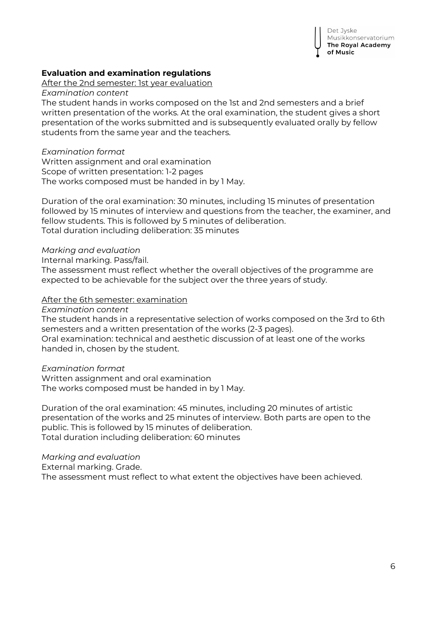

#### **Evaluation and examination regulations**

After the 2nd semester: 1st year evaluation

*Examination content*

The student hands in works composed on the 1st and 2nd semesters and a brief written presentation of the works. At the oral examination, the student gives a short presentation of the works submitted and is subsequently evaluated orally by fellow students from the same year and the teachers.

#### *Examination format*

Written assignment and oral examination Scope of written presentation: 1-2 pages The works composed must be handed in by 1 May.

Duration of the oral examination: 30 minutes, including 15 minutes of presentation followed by 15 minutes of interview and questions from the teacher, the examiner, and fellow students. This is followed by 5 minutes of deliberation. Total duration including deliberation: 35 minutes

#### *Marking and evaluation*

Internal marking. Pass/fail.

The assessment must reflect whether the overall objectives of the programme are expected to be achievable for the subject over the three years of study.

#### After the 6th semester: examination

*Examination content*

The student hands in a representative selection of works composed on the 3rd to 6th semesters and a written presentation of the works (2-3 pages). Oral examination: technical and aesthetic discussion of at least one of the works handed in, chosen by the student.

#### *Examination format*

Written assignment and oral examination The works composed must be handed in by 1 May.

Duration of the oral examination: 45 minutes, including 20 minutes of artistic presentation of the works and 25 minutes of interview. Both parts are open to the public. This is followed by 15 minutes of deliberation. Total duration including deliberation: 60 minutes

*Marking and evaluation*

External marking. Grade.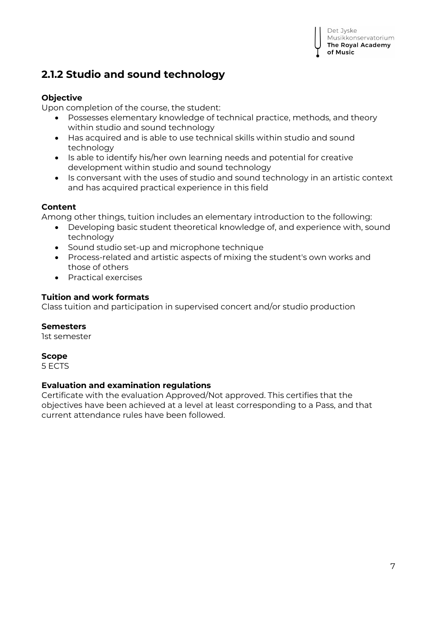# **2.1.2 Studio and sound technology**

## **Objective**

Upon completion of the course, the student:

- Possesses elementary knowledge of technical practice, methods, and theory within studio and sound technology
- Has acquired and is able to use technical skills within studio and sound technology
- Is able to identify his/her own learning needs and potential for creative development within studio and sound technology
- Is conversant with the uses of studio and sound technology in an artistic context and has acquired practical experience in this field

## **Content**

Among other things, tuition includes an elementary introduction to the following:

- Developing basic student theoretical knowledge of, and experience with, sound technology
- Sound studio set-up and microphone technique
- Process-related and artistic aspects of mixing the student's own works and those of others
- Practical exercises

## **Tuition and work formats**

Class tuition and participation in supervised concert and/or studio production

## **Semesters**

1st semester

## **Scope**

5 ECTS

## **Evaluation and examination regulations**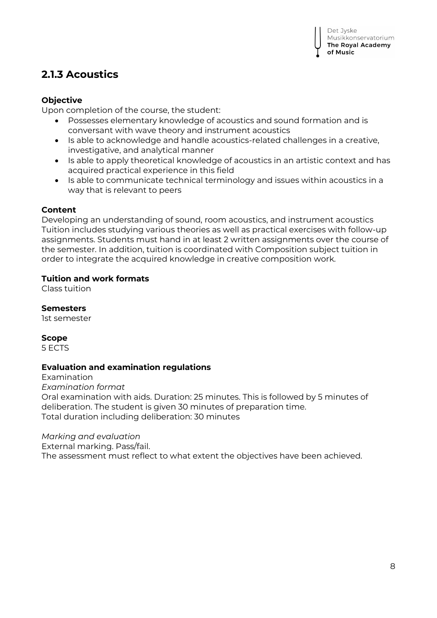# **2.1.3 Acoustics**

#### **Objective**

Upon completion of the course, the student:

- Possesses elementary knowledge of acoustics and sound formation and is conversant with wave theory and instrument acoustics
- Is able to acknowledge and handle acoustics-related challenges in a creative, investigative, and analytical manner
- Is able to apply theoretical knowledge of acoustics in an artistic context and has acquired practical experience in this field
- Is able to communicate technical terminology and issues within acoustics in a way that is relevant to peers

#### **Content**

Developing an understanding of sound, room acoustics, and instrument acoustics Tuition includes studying various theories as well as practical exercises with follow-up assignments. Students must hand in at least 2 written assignments over the course of the semester. In addition, tuition is coordinated with Composition subject tuition in order to integrate the acquired knowledge in creative composition work.

#### **Tuition and work formats**

Class tuition

**Semesters** 

1st semester

#### **Scope**

5 ECTS

#### **Evaluation and examination regulations**

Examination *Examination format* Oral examination with aids. Duration: 25 minutes. This is followed by 5 minutes of deliberation. The student is given 30 minutes of preparation time. Total duration including deliberation: 30 minutes

#### *Marking and evaluation*

External marking. Pass/fail.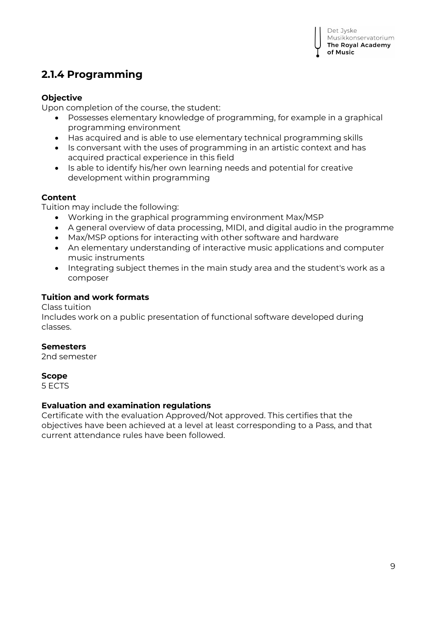# **2.1.4 Programming**

### **Objective**

Upon completion of the course, the student:

- Possesses elementary knowledge of programming, for example in a graphical programming environment
- Has acquired and is able to use elementary technical programming skills
- Is conversant with the uses of programming in an artistic context and has acquired practical experience in this field
- Is able to identify his/her own learning needs and potential for creative development within programming

#### **Content**

Tuition may include the following:

- Working in the graphical programming environment Max/MSP
- A general overview of data processing, MIDI, and digital audio in the programme
- Max/MSP options for interacting with other software and hardware
- An elementary understanding of interactive music applications and computer music instruments
- Integrating subject themes in the main study area and the student's work as a composer

#### **Tuition and work formats**

#### Class tuition

Includes work on a public presentation of functional software developed during classes.

#### **Semesters**

2nd semester

#### **Scope**

5 ECTS

#### **Evaluation and examination regulations**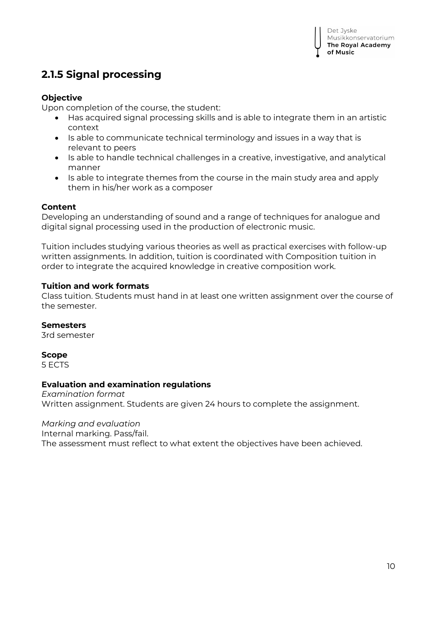# **2.1.5 Signal processing**

### **Objective**

Upon completion of the course, the student:

- Has acquired signal processing skills and is able to integrate them in an artistic context
- Is able to communicate technical terminology and issues in a way that is relevant to peers
- Is able to handle technical challenges in a creative, investigative, and analytical manner
- Is able to integrate themes from the course in the main study area and apply them in his/her work as a composer

#### **Content**

Developing an understanding of sound and a range of techniques for analogue and digital signal processing used in the production of electronic music.

Tuition includes studying various theories as well as practical exercises with follow-up written assignments. In addition, tuition is coordinated with Composition tuition in order to integrate the acquired knowledge in creative composition work.

#### **Tuition and work formats**

Class tuition. Students must hand in at least one written assignment over the course of the semester.

#### **Semesters**

3rd semester

#### **Scope**

5 ECTS

#### **Evaluation and examination regulations**

*Examination format* Written assignment. Students are given 24 hours to complete the assignment.

## *Marking and evaluation*

Internal marking. Pass/fail.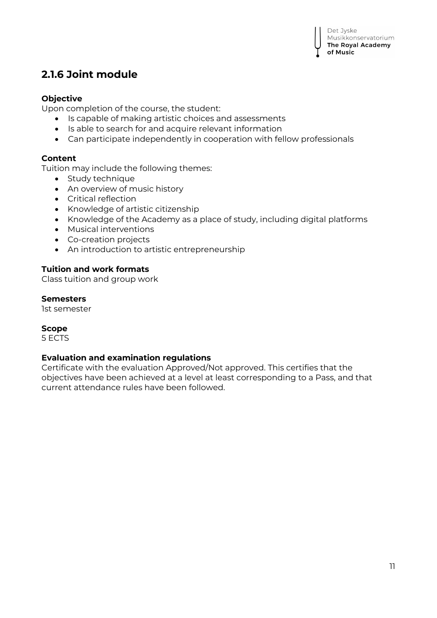# **2.1.6 Joint module**

#### **Objective**

Upon completion of the course, the student:

- Is capable of making artistic choices and assessments
- Is able to search for and acquire relevant information
- Can participate independently in cooperation with fellow professionals

#### **Content**

Tuition may include the following themes:

- Study technique
- An overview of music history
- Critical reflection
- Knowledge of artistic citizenship
- Knowledge of the Academy as a place of study, including digital platforms
- Musical interventions
- Co-creation projects
- An introduction to artistic entrepreneurship

#### **Tuition and work formats**

Class tuition and group work

#### **Semesters**

1st semester

#### **Scope**

5 ECTS

#### **Evaluation and examination regulations**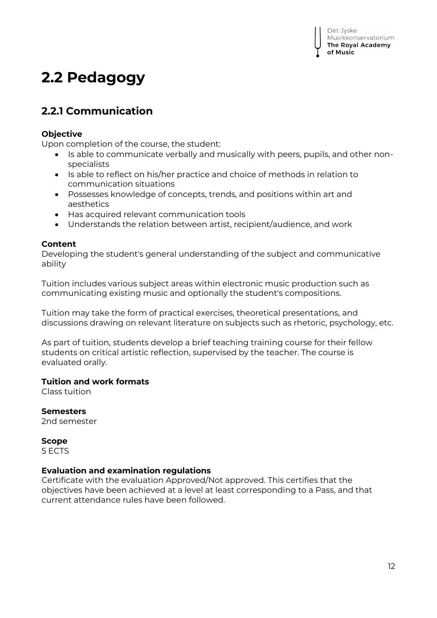# **2.2 Pedagogy**

# **2.2.1 Communication**

#### **Objective**

Upon completion of the course, the student:

- Is able to communicate verbally and musically with peers, pupils, and other nonspecialists
- Is able to reflect on his/her practice and choice of methods in relation to communication situations
- Possesses knowledge of concepts, trends, and positions within art and aesthetics
- Has acquired relevant communication tools
- Understands the relation between artist, recipient/audience, and work

#### **Content**

Developing the student's general understanding of the subject and communicative ability

Tuition includes various subject areas within electronic music production such as communicating existing music and optionally the student's compositions.

Tuition may take the form of practical exercises, theoretical presentations, and discussions drawing on relevant literature on subjects such as rhetoric, psychology, etc.

As part of tuition, students develop a brief teaching training course for their fellow students on critical artistic reflection, supervised by the teacher. The course is evaluated orally.

#### **Tuition and work formats**

Class tuition

#### **Semesters**

2nd semester

#### **Scope**

5 ECTS

#### **Evaluation and examination regulations**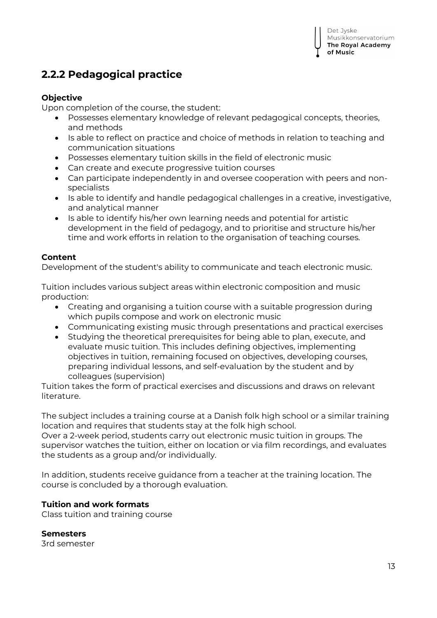# **2.2.2 Pedagogical practice**

#### **Objective**

Upon completion of the course, the student:

- Possesses elementary knowledge of relevant pedagogical concepts, theories, and methods
- Is able to reflect on practice and choice of methods in relation to teaching and communication situations
- Possesses elementary tuition skills in the field of electronic music
- Can create and execute progressive tuition courses
- Can participate independently in and oversee cooperation with peers and nonspecialists
- Is able to identify and handle pedagogical challenges in a creative, investigative, and analytical manner
- Is able to identify his/her own learning needs and potential for artistic development in the field of pedagogy, and to prioritise and structure his/her time and work efforts in relation to the organisation of teaching courses.

#### **Content**

Development of the student's ability to communicate and teach electronic music.

Tuition includes various subject areas within electronic composition and music production:

- Creating and organising a tuition course with a suitable progression during which pupils compose and work on electronic music
- Communicating existing music through presentations and practical exercises
- Studying the theoretical prerequisites for being able to plan, execute, and evaluate music tuition. This includes defining objectives, implementing objectives in tuition, remaining focused on objectives, developing courses, preparing individual lessons, and self-evaluation by the student and by colleagues (supervision)

Tuition takes the form of practical exercises and discussions and draws on relevant literature.

The subject includes a training course at a Danish folk high school or a similar training location and requires that students stay at the folk high school.

Over a 2-week period, students carry out electronic music tuition in groups. The supervisor watches the tuition, either on location or via film recordings, and evaluates the students as a group and/or individually.

In addition, students receive guidance from a teacher at the training location. The course is concluded by a thorough evaluation.

#### **Tuition and work formats**

Class tuition and training course

#### **Semesters**

3rd semester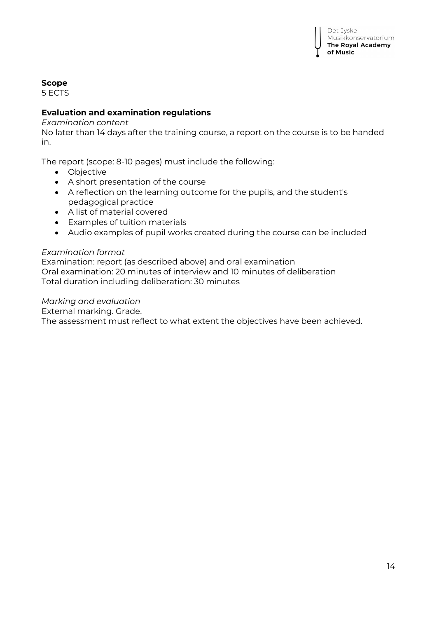

## **Scope**

5 ECTS

#### **Evaluation and examination regulations**

#### *Examination content*

No later than 14 days after the training course, a report on the course is to be handed in.

The report (scope: 8-10 pages) must include the following:

- Objective
- A short presentation of the course
- A reflection on the learning outcome for the pupils, and the student's pedagogical practice
- A list of material covered
- Examples of tuition materials
- Audio examples of pupil works created during the course can be included

#### *Examination format*

Examination: report (as described above) and oral examination Oral examination: 20 minutes of interview and 10 minutes of deliberation Total duration including deliberation: 30 minutes

#### *Marking and evaluation*

External marking. Grade.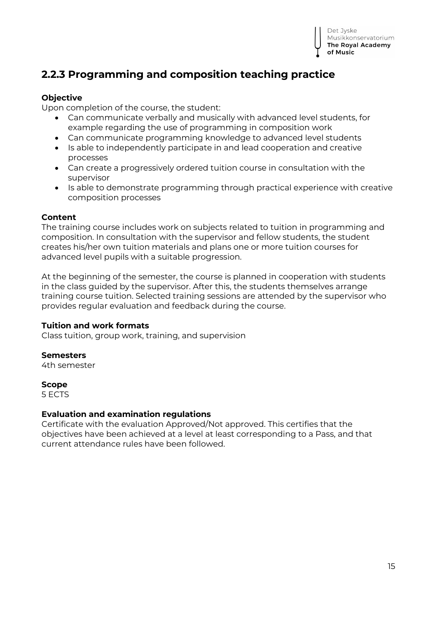

# **2.2.3 Programming and composition teaching practice**

#### **Objective**

Upon completion of the course, the student:

- Can communicate verbally and musically with advanced level students, for example regarding the use of programming in composition work
- Can communicate programming knowledge to advanced level students
- Is able to independently participate in and lead cooperation and creative processes
- Can create a progressively ordered tuition course in consultation with the supervisor
- Is able to demonstrate programming through practical experience with creative composition processes

#### **Content**

The training course includes work on subjects related to tuition in programming and composition. In consultation with the supervisor and fellow students, the student creates his/her own tuition materials and plans one or more tuition courses for advanced level pupils with a suitable progression.

At the beginning of the semester, the course is planned in cooperation with students in the class guided by the supervisor. After this, the students themselves arrange training course tuition. Selected training sessions are attended by the supervisor who provides regular evaluation and feedback during the course.

#### **Tuition and work formats**

Class tuition, group work, training, and supervision

#### **Semesters**

4th semester

#### **Scope**

5 ECTS

#### **Evaluation and examination regulations**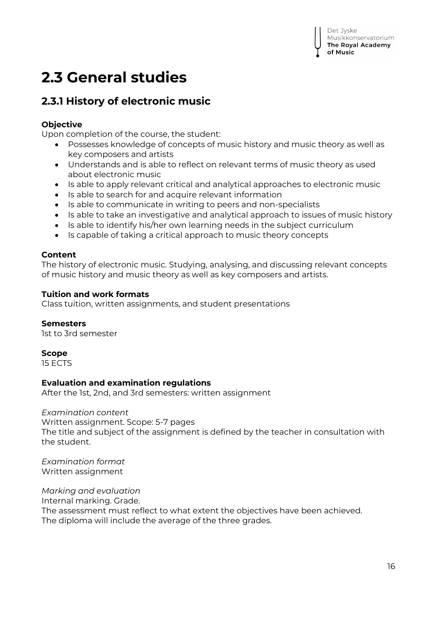# **2.3 General studies**

# **2.3.1 History of electronic music**

## **Objective**

Upon completion of the course, the student:

- Possesses knowledge of concepts of music history and music theory as well as key composers and artists
- Understands and is able to reflect on relevant terms of music theory as used about electronic music
- Is able to apply relevant critical and analytical approaches to electronic music
- Is able to search for and acquire relevant information
- Is able to communicate in writing to peers and non-specialists
- Is able to take an investigative and analytical approach to issues of music history
- Is able to identify his/her own learning needs in the subject curriculum
- Is capable of taking a critical approach to music theory concepts

## **Content**

The history of electronic music. Studying, analysing, and discussing relevant concepts of music history and music theory as well as key composers and artists.

#### **Tuition and work formats**

Class tuition, written assignments, and student presentations

#### **Semesters**

1st to 3rd semester

## **Scope**

15 ECTS

## **Evaluation and examination regulations**

After the 1st, 2nd, and 3rd semesters: written assignment

#### *Examination content*

Written assignment. Scope: 5-7 pages The title and subject of the assignment is defined by the teacher in consultation with the student.

*Examination format* Written assignment

*Marking and evaluation* Internal marking. Grade. The assessment must reflect to what extent the objectives have been achieved. The diploma will include the average of the three grades.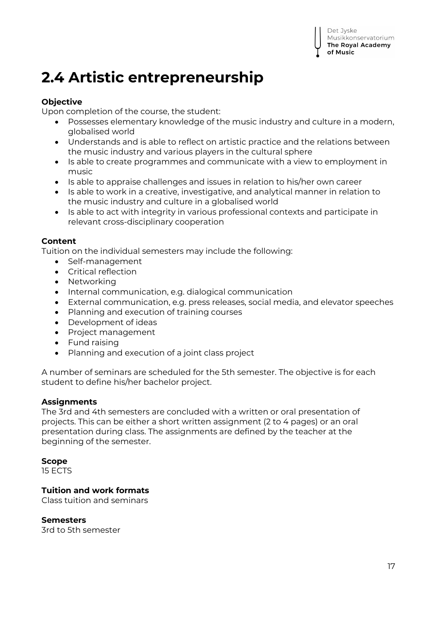# **2.4 Artistic entrepreneurship**

### **Objective**

Upon completion of the course, the student:

- Possesses elementary knowledge of the music industry and culture in a modern, globalised world
- Understands and is able to reflect on artistic practice and the relations between the music industry and various players in the cultural sphere
- Is able to create programmes and communicate with a view to employment in music
- Is able to appraise challenges and issues in relation to his/her own career
- Is able to work in a creative, investigative, and analytical manner in relation to the music industry and culture in a globalised world
- Is able to act with integrity in various professional contexts and participate in relevant cross-disciplinary cooperation

#### **Content**

Tuition on the individual semesters may include the following:

- Self-management
- Critical reflection
- Networking
- Internal communication, e.g. dialogical communication
- External communication, e.g. press releases, social media, and elevator speeches
- Planning and execution of training courses
- Development of ideas
- Project management
- Fund raising
- Planning and execution of a joint class project

A number of seminars are scheduled for the 5th semester. The objective is for each student to define his/her bachelor project.

#### **Assignments**

The 3rd and 4th semesters are concluded with a written or oral presentation of projects. This can be either a short written assignment (2 to 4 pages) or an oral presentation during class. The assignments are defined by the teacher at the beginning of the semester.

#### **Scope**

15 ECTS

## **Tuition and work formats**

Class tuition and seminars

#### **Semesters**

3rd to 5th semester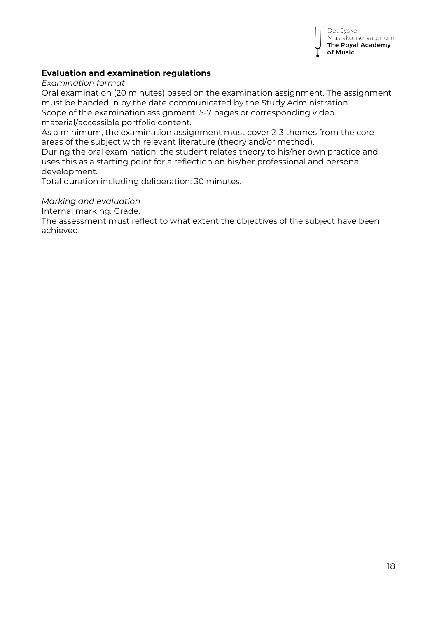

#### **Evaluation and examination regulations**

*Examination format*

Oral examination (20 minutes) based on the examination assignment. The assignment must be handed in by the date communicated by the Study Administration. Scope of the examination assignment: 5-7 pages or corresponding video material/accessible portfolio content.

As a minimum, the examination assignment must cover 2-3 themes from the core areas of the subject with relevant literature (theory and/or method).

During the oral examination, the student relates theory to his/her own practice and uses this as a starting point for a reflection on his/her professional and personal development.

Total duration including deliberation: 30 minutes.

#### *Marking and evaluation*

Internal marking. Grade.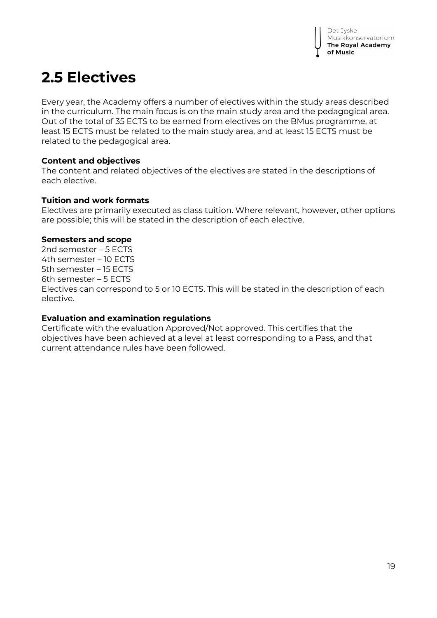# **2.5 Electives**

Every year, the Academy offers a number of electives within the study areas described in the curriculum. The main focus is on the main study area and the pedagogical area. Out of the total of 35 ECTS to be earned from electives on the BMus programme, at least 15 ECTS must be related to the main study area, and at least 15 ECTS must be related to the pedagogical area.

#### **Content and objectives**

The content and related objectives of the electives are stated in the descriptions of each elective.

#### **Tuition and work formats**

Electives are primarily executed as class tuition. Where relevant, however, other options are possible; this will be stated in the description of each elective.

#### **Semesters and scope**

2nd semester – 5 ECTS 4th semester – 10 ECTS 5th semester – 15 ECTS 6th semester – 5 ECTS Electives can correspond to 5 or 10 ECTS. This will be stated in the description of each elective.

#### **Evaluation and examination regulations**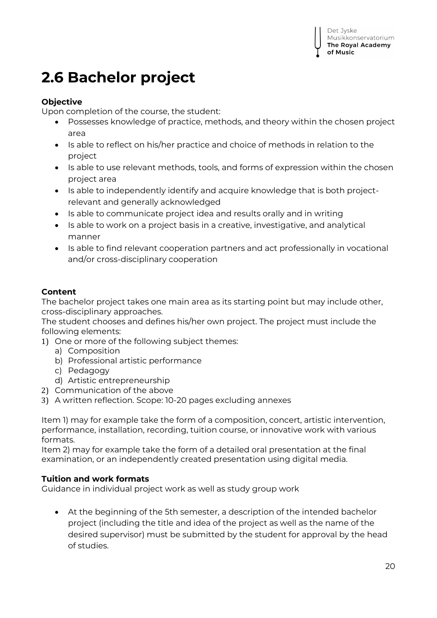# **2.6 Bachelor project**

## **Objective**

Upon completion of the course, the student:

- Possesses knowledge of practice, methods, and theory within the chosen project area
- Is able to reflect on his/her practice and choice of methods in relation to the project
- Is able to use relevant methods, tools, and forms of expression within the chosen project area
- Is able to independently identify and acquire knowledge that is both projectrelevant and generally acknowledged
- Is able to communicate project idea and results orally and in writing
- Is able to work on a project basis in a creative, investigative, and analytical manner
- Is able to find relevant cooperation partners and act professionally in vocational and/or cross-disciplinary cooperation

## **Content**

The bachelor project takes one main area as its starting point but may include other, cross-disciplinary approaches.

The student chooses and defines his/her own project. The project must include the following elements:

- 1) One or more of the following subject themes:
	- a) Composition
	- b) Professional artistic performance
	- c) Pedagogy
	- d) Artistic entrepreneurship
- 2) Communication of the above
- 3) A written reflection. Scope: 10-20 pages excluding annexes

Item 1) may for example take the form of a composition, concert, artistic intervention, performance, installation, recording, tuition course, or innovative work with various formats.

Item 2) may for example take the form of a detailed oral presentation at the final examination, or an independently created presentation using digital media.

## **Tuition and work formats**

Guidance in individual project work as well as study group work

 At the beginning of the 5th semester, a description of the intended bachelor project (including the title and idea of the project as well as the name of the desired supervisor) must be submitted by the student for approval by the head of studies.